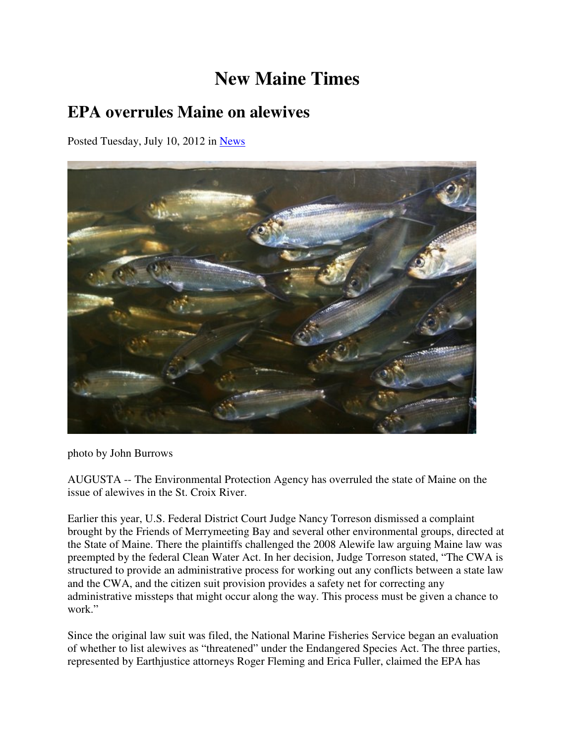## **New Maine Times**

## **EPA overrules Maine on alewives**

Posted Tuesday, July 10, 2012 in News



photo by John Burrows

AUGUSTA -- The Environmental Protection Agency has overruled the state of Maine on the issue of alewives in the St. Croix River.

Earlier this year, U.S. Federal District Court Judge Nancy Torreson dismissed a complaint brought by the Friends of Merrymeeting Bay and several other environmental groups, directed at the State of Maine. There the plaintiffs challenged the 2008 Alewife law arguing Maine law was preempted by the federal Clean Water Act. In her decision, Judge Torreson stated, "The CWA is structured to provide an administrative process for working out any conflicts between a state law and the CWA, and the citizen suit provision provides a safety net for correcting any administrative missteps that might occur along the way. This process must be given a chance to work."

Since the original law suit was filed, the National Marine Fisheries Service began an evaluation of whether to list alewives as "threatened" under the Endangered Species Act. The three parties, represented by Earthjustice attorneys Roger Fleming and Erica Fuller, claimed the EPA has